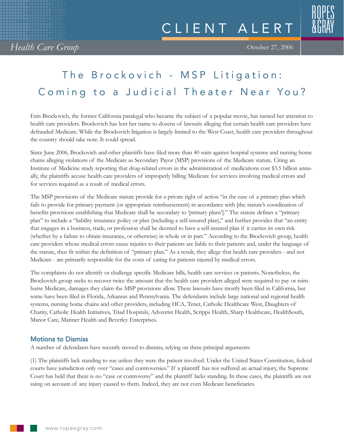## The Brockovich - MSP Litigation: Coming to a Judicial Theater Near You?

Erin Brockovich, the former California paralegal who became the subject of a popular movie, has turned her attention to health care providers. Brockovich has lent her name to dozens of lawsuits alleging that certain health care providers have defrauded Medicare. While the Brockovich litigation is largely limited to the West Coast, health care providers throughout the country should take note. It could spread.

Since June 2006, Brockovich and other plaintiffs have filed more than 40 suits against hospital systems and nursing home chains alleging violations of the Medicare as Secondary Payor (MSP) provisions of the Medicare statute. Citing an Institute of Medicine study reporting that drug-related errors in the administration of medications cost \$3.5 billion annually, the plaintiffs accuse health care providers of improperly billing Medicare for services involving medical errors and for services required as a result of medical errors.

The MSP provisions of the Medicare statute provide for a private right of action "in the case of a primary plan which fails to provide for primary payment (or appropriate reimbursement) in accordance with [the statute's coordination of benefits provisions establishing that Medicare shall be secondary to 'primary plans']." The statute defines a "primary plan" to include a "liability insurance policy or plan (including a self-insured plan)," and further provides that "an entity that engages in a business, trade, or profession shall be deemed to have a self-insured plan if it carries its own risk (whether by a failure to obtain insurance, or otherwise) in whole or in part." According to the Brockovich group, health care providers whose medical errors cause injuries to their patients are liable to their patients and, under the language of the statute, thus fit within the definition of "primary plan." As a result, they allege that health care providers - and not Medicare - are primarily responsible for the costs of caring for patients injured by medical errors.

The complaints do not identify or challenge specific Medicare bills, health care services or patients. Nonetheless, the Brockovich group seeks to recover twice the amount that the health care providers alleged were required to pay or reimburse Medicare, damages they claim the MSP provisions allow. These lawsuits have mostly been filed in California, but some have been filed in Florida, Arkansas and Pennsylvania. The defendants include large national and regional health systems, nursing home chains and other providers, including HCA, Tenet, Catholic Healthcare West, Daughters of Charity, Catholic Health Initiatives, Triad Hospitals, Adventist Health, Scripps Health, Sharp Healthcare, HealthSouth, Manor Care, Mariner Health and Beverley Enterprises.

## Motions to Dismiss

A number of defendants have recently moved to dismiss, relying on three principal arguments:

(1) The plaintiffs lack standing to sue unless they were the patient involved. Under the United States Constitution, federal courts have jurisdiction only over "cases and controversies." If a plaintiff has not suffered an actual injury, the Supreme Court has held that there is no "case or controversy" and the plaintiff lacks standing. In these cases, the plaintiffs are not suing on account of any injury caused to them. Indeed, they are not even Medicare beneficiaries.